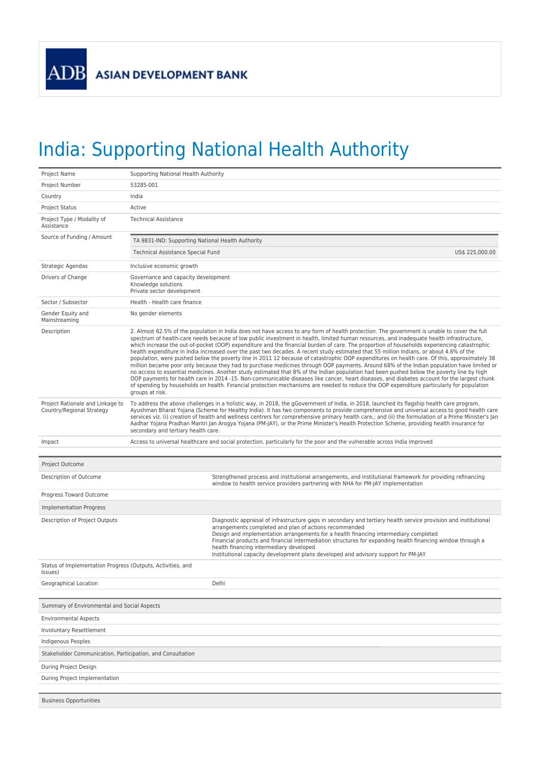## India: Supporting National Health Authority

| Project Name                                                           | Supporting National Health Authority                                                                                                                                                                                                                                                                                                                                                                                                                                                                                                                                                                                                                                                                                                                                                                                                                                                                                                                                                                                                                                                                                                                                                                                                                                                                                                        |  |  |  |  |  |  |
|------------------------------------------------------------------------|---------------------------------------------------------------------------------------------------------------------------------------------------------------------------------------------------------------------------------------------------------------------------------------------------------------------------------------------------------------------------------------------------------------------------------------------------------------------------------------------------------------------------------------------------------------------------------------------------------------------------------------------------------------------------------------------------------------------------------------------------------------------------------------------------------------------------------------------------------------------------------------------------------------------------------------------------------------------------------------------------------------------------------------------------------------------------------------------------------------------------------------------------------------------------------------------------------------------------------------------------------------------------------------------------------------------------------------------|--|--|--|--|--|--|
| Project Number                                                         | 53285-001                                                                                                                                                                                                                                                                                                                                                                                                                                                                                                                                                                                                                                                                                                                                                                                                                                                                                                                                                                                                                                                                                                                                                                                                                                                                                                                                   |  |  |  |  |  |  |
| Country                                                                | India                                                                                                                                                                                                                                                                                                                                                                                                                                                                                                                                                                                                                                                                                                                                                                                                                                                                                                                                                                                                                                                                                                                                                                                                                                                                                                                                       |  |  |  |  |  |  |
| <b>Project Status</b>                                                  | Active                                                                                                                                                                                                                                                                                                                                                                                                                                                                                                                                                                                                                                                                                                                                                                                                                                                                                                                                                                                                                                                                                                                                                                                                                                                                                                                                      |  |  |  |  |  |  |
| Project Type / Modality of<br>Assistance                               | <b>Technical Assistance</b>                                                                                                                                                                                                                                                                                                                                                                                                                                                                                                                                                                                                                                                                                                                                                                                                                                                                                                                                                                                                                                                                                                                                                                                                                                                                                                                 |  |  |  |  |  |  |
| Source of Funding / Amount                                             | TA 9831-IND: Supporting National Health Authority                                                                                                                                                                                                                                                                                                                                                                                                                                                                                                                                                                                                                                                                                                                                                                                                                                                                                                                                                                                                                                                                                                                                                                                                                                                                                           |  |  |  |  |  |  |
|                                                                        | US\$ 225,000.00<br>Technical Assistance Special Fund                                                                                                                                                                                                                                                                                                                                                                                                                                                                                                                                                                                                                                                                                                                                                                                                                                                                                                                                                                                                                                                                                                                                                                                                                                                                                        |  |  |  |  |  |  |
| Strategic Agendas                                                      | Inclusive economic growth                                                                                                                                                                                                                                                                                                                                                                                                                                                                                                                                                                                                                                                                                                                                                                                                                                                                                                                                                                                                                                                                                                                                                                                                                                                                                                                   |  |  |  |  |  |  |
| Drivers of Change                                                      | Governance and capacity development<br>Knowledge solutions<br>Private sector development                                                                                                                                                                                                                                                                                                                                                                                                                                                                                                                                                                                                                                                                                                                                                                                                                                                                                                                                                                                                                                                                                                                                                                                                                                                    |  |  |  |  |  |  |
| Sector / Subsector                                                     | Health - Health care finance                                                                                                                                                                                                                                                                                                                                                                                                                                                                                                                                                                                                                                                                                                                                                                                                                                                                                                                                                                                                                                                                                                                                                                                                                                                                                                                |  |  |  |  |  |  |
| Gender Equity and<br>Mainstreaming                                     | No gender elements                                                                                                                                                                                                                                                                                                                                                                                                                                                                                                                                                                                                                                                                                                                                                                                                                                                                                                                                                                                                                                                                                                                                                                                                                                                                                                                          |  |  |  |  |  |  |
| Description                                                            | 2. Almost 62.5% of the population in India does not have access to any form of health protection. The government is unable to cover the full<br>spectrum of health-care needs because of low public investment in health, limited human resources, and inadequate health infrastructure,<br>which increase the out-of-pocket (OOP) expenditure and the financial burden of care. The proportion of households experiencing catastrophic<br>health expenditure in India increased over the past two decades. A recent study estimated that 55 million Indians, or about 4.6% of the<br>population, were pushed below the poverty line in 2011 12 because of catastrophic OOP expenditures on health care. Of this, approximately 38<br>million became poor only because they had to purchase medicines through OOP payments. Around 68% of the Indian population have limited or<br>no access to essential medicines. Another study estimated that 8% of the Indian population had been pushed below the poverty line by high<br>OOP payments for health care in 2014 -15. Non-communicable diseases like cancer, heart diseases, and diabetes account for the largest chunk<br>of spending by households on health. Financial protection mechanisms are needed to reduce the OOP expenditure particularly for population<br>groups at risk. |  |  |  |  |  |  |
| Project Rationale and Linkage to<br>Country/Regional Strategy          | To address the above challenges in a holistic way, in 2018, the gGovernment of India, in 2018, launched its flagship health care program,<br>Ayushman Bharat Yojana (Scheme for Healthy India). It has two components to provide comprehensive and universal access to good health care<br>services viz. (i) creation of health and wellness centrers for comprehensive primary health care,; and (ii) the formulation of a Prime Minister's Jan<br>Aadhar Yojana Pradhan Mantri Jan Arogya Yojana (PM-JAY), or the Prime Minister's Health Protection Scheme, providing health insurance for<br>secondary and tertiary health care.                                                                                                                                                                                                                                                                                                                                                                                                                                                                                                                                                                                                                                                                                                        |  |  |  |  |  |  |
| Impact                                                                 | Access to universal healthcare and social protection, particularly for the poor and the vulnerable across India improved                                                                                                                                                                                                                                                                                                                                                                                                                                                                                                                                                                                                                                                                                                                                                                                                                                                                                                                                                                                                                                                                                                                                                                                                                    |  |  |  |  |  |  |
|                                                                        |                                                                                                                                                                                                                                                                                                                                                                                                                                                                                                                                                                                                                                                                                                                                                                                                                                                                                                                                                                                                                                                                                                                                                                                                                                                                                                                                             |  |  |  |  |  |  |
| Project Outcome                                                        |                                                                                                                                                                                                                                                                                                                                                                                                                                                                                                                                                                                                                                                                                                                                                                                                                                                                                                                                                                                                                                                                                                                                                                                                                                                                                                                                             |  |  |  |  |  |  |
| Description of Outcome                                                 | Strengthened process and institutional arrangements, and institutional framework for providing refinancing                                                                                                                                                                                                                                                                                                                                                                                                                                                                                                                                                                                                                                                                                                                                                                                                                                                                                                                                                                                                                                                                                                                                                                                                                                  |  |  |  |  |  |  |
|                                                                        | window to health service providers partnering with NHA for PM-JAY implementation                                                                                                                                                                                                                                                                                                                                                                                                                                                                                                                                                                                                                                                                                                                                                                                                                                                                                                                                                                                                                                                                                                                                                                                                                                                            |  |  |  |  |  |  |
| Progress Toward Outcome                                                |                                                                                                                                                                                                                                                                                                                                                                                                                                                                                                                                                                                                                                                                                                                                                                                                                                                                                                                                                                                                                                                                                                                                                                                                                                                                                                                                             |  |  |  |  |  |  |
| <b>Implementation Progress</b>                                         |                                                                                                                                                                                                                                                                                                                                                                                                                                                                                                                                                                                                                                                                                                                                                                                                                                                                                                                                                                                                                                                                                                                                                                                                                                                                                                                                             |  |  |  |  |  |  |
| Description of Project Outputs                                         | Diagnostic appraisal of infrastructure gaps in secondary and tertiary health service provision and institutional<br>arrangements completed and plan of actions recommended<br>Design and implementation arrangements for a health financing intermediary completed<br>Financial products and financial intermediation structures for expanding health financing window through a<br>health financing intermediary developed<br>Institutional capacity development plans developed and advisory support for PM-JAY                                                                                                                                                                                                                                                                                                                                                                                                                                                                                                                                                                                                                                                                                                                                                                                                                           |  |  |  |  |  |  |
| Status of Implementation Progress (Outputs, Activities, and<br>lssues) |                                                                                                                                                                                                                                                                                                                                                                                                                                                                                                                                                                                                                                                                                                                                                                                                                                                                                                                                                                                                                                                                                                                                                                                                                                                                                                                                             |  |  |  |  |  |  |
| Geographical Location                                                  | Delhi                                                                                                                                                                                                                                                                                                                                                                                                                                                                                                                                                                                                                                                                                                                                                                                                                                                                                                                                                                                                                                                                                                                                                                                                                                                                                                                                       |  |  |  |  |  |  |
|                                                                        |                                                                                                                                                                                                                                                                                                                                                                                                                                                                                                                                                                                                                                                                                                                                                                                                                                                                                                                                                                                                                                                                                                                                                                                                                                                                                                                                             |  |  |  |  |  |  |
| Summary of Environmental and Social Aspects                            |                                                                                                                                                                                                                                                                                                                                                                                                                                                                                                                                                                                                                                                                                                                                                                                                                                                                                                                                                                                                                                                                                                                                                                                                                                                                                                                                             |  |  |  |  |  |  |
| <b>Environmental Aspects</b>                                           |                                                                                                                                                                                                                                                                                                                                                                                                                                                                                                                                                                                                                                                                                                                                                                                                                                                                                                                                                                                                                                                                                                                                                                                                                                                                                                                                             |  |  |  |  |  |  |
| <b>Involuntary Resettlement</b>                                        |                                                                                                                                                                                                                                                                                                                                                                                                                                                                                                                                                                                                                                                                                                                                                                                                                                                                                                                                                                                                                                                                                                                                                                                                                                                                                                                                             |  |  |  |  |  |  |
| Indigenous Peoples                                                     |                                                                                                                                                                                                                                                                                                                                                                                                                                                                                                                                                                                                                                                                                                                                                                                                                                                                                                                                                                                                                                                                                                                                                                                                                                                                                                                                             |  |  |  |  |  |  |
| Stakeholder Communication, Participation, and Consultation             |                                                                                                                                                                                                                                                                                                                                                                                                                                                                                                                                                                                                                                                                                                                                                                                                                                                                                                                                                                                                                                                                                                                                                                                                                                                                                                                                             |  |  |  |  |  |  |
| During Project Design                                                  |                                                                                                                                                                                                                                                                                                                                                                                                                                                                                                                                                                                                                                                                                                                                                                                                                                                                                                                                                                                                                                                                                                                                                                                                                                                                                                                                             |  |  |  |  |  |  |
| During Project Implementation                                          |                                                                                                                                                                                                                                                                                                                                                                                                                                                                                                                                                                                                                                                                                                                                                                                                                                                                                                                                                                                                                                                                                                                                                                                                                                                                                                                                             |  |  |  |  |  |  |